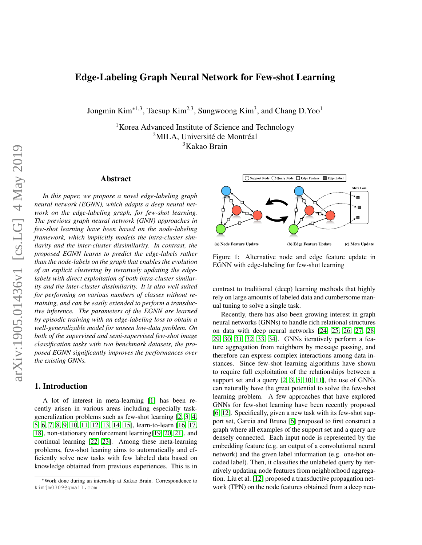# Edge-Labeling Graph Neural Network for Few-shot Learning

Jongmin Kim<sup>∗1,3</sup>, Taesup Kim<sup>2,3</sup>, Sungwoong Kim<sup>3</sup>, and Chang D.Yoo<sup>1</sup>

<sup>1</sup>Korea Advanced Institute of Science and Technology <sup>2</sup>MILA, Université de Montréal <sup>3</sup>Kakao Brain

## Abstract

*In this paper, we propose a novel edge-labeling graph neural network (EGNN), which adapts a deep neural network on the edge-labeling graph, for few-shot learning. The previous graph neural network (GNN) approaches in few-shot learning have been based on the node-labeling framework, which implicitly models the intra-cluster similarity and the inter-cluster dissimilarity. In contrast, the proposed EGNN learns to predict the edge-labels rather than the node-labels on the graph that enables the evolution of an explicit clustering by iteratively updating the edgelabels with direct exploitation of both intra-cluster similarity and the inter-cluster dissimilarity. It is also well suited for performing on various numbers of classes without retraining, and can be easily extended to perform a transductive inference. The parameters of the EGNN are learned by episodic training with an edge-labeling loss to obtain a well-generalizable model for unseen low-data problem. On both of the supervised and semi-supervised few-shot image classification tasks with two benchmark datasets, the proposed EGNN significantly improves the performances over the existing GNNs.*

#### 1. Introduction

A lot of interest in meta-learning [\[1\]](#page-8-0) has been recently arisen in various areas including especially taskgeneralization problems such as few-shot learning [\[2,](#page-8-1) [3,](#page-8-2) [4,](#page-8-3) [5,](#page-8-4) [6,](#page-8-5) [7,](#page-8-6) [8,](#page-8-7) [9,](#page-8-8) [10,](#page-8-9) [11,](#page-8-10) [12,](#page-8-11) [13,](#page-8-12) [14,](#page-8-13) [15\]](#page-8-14), learn-to-learn [\[16,](#page-8-15) [17,](#page-8-16) [18\]](#page-8-17), non-stationary reinforcement learning[\[19,](#page-8-18) [20,](#page-8-19) [21\]](#page-8-20), and continual learning [\[22,](#page-8-21) [23\]](#page-8-22). Among these meta-learning problems, few-shot leaning aims to automatically and efficiently solve new tasks with few labeled data based on knowledge obtained from previous experiences. This is in

<span id="page-0-0"></span>

Figure 1: Alternative node and edge feature update in EGNN with edge-labeling for few-shot learning

contrast to traditional (deep) learning methods that highly rely on large amounts of labeled data and cumbersome manual tuning to solve a single task.

Recently, there has also been growing interest in graph neural networks (GNNs) to handle rich relational structures on data with deep neural networks [\[24,](#page-8-23) [25,](#page-8-24) [26,](#page-8-25) [27,](#page-8-26) [28,](#page-8-27) [29,](#page-8-28) [30,](#page-9-0) [31,](#page-9-1) [32,](#page-9-2) [33,](#page-9-3) [34\]](#page-9-4). GNNs iteratively perform a feature aggregation from neighbors by message passing, and therefore can express complex interactions among data instances. Since few-shot learning algorithms have shown to require full exploitation of the relationships between a support set and a query [\[2,](#page-8-1) [3,](#page-8-2) [5,](#page-8-4) [10,](#page-8-9) [11\]](#page-8-10), the use of GNNs can naturally have the great potential to solve the few-shot learning problem. A few approaches that have explored GNNs for few-shot learning have been recently proposed [\[6,](#page-8-5) [12\]](#page-8-11). Specifically, given a new task with its few-shot support set, Garcia and Bruna [\[6\]](#page-8-5) proposed to first construct a graph where all examples of the support set and a query are densely connected. Each input node is represented by the embedding feature (e.g. an output of a convolutional neural network) and the given label information (e.g. one-hot encoded label). Then, it classifies the unlabeled query by iteratively updating node features from neighborhood aggregation. Liu et al. [\[12\]](#page-8-11) proposed a transductive propagation network (TPN) on the node features obtained from a deep neu-

<sup>∗</sup>Work done during an internship at Kakao Brain. Correspondence to kimjm0309@gmail.com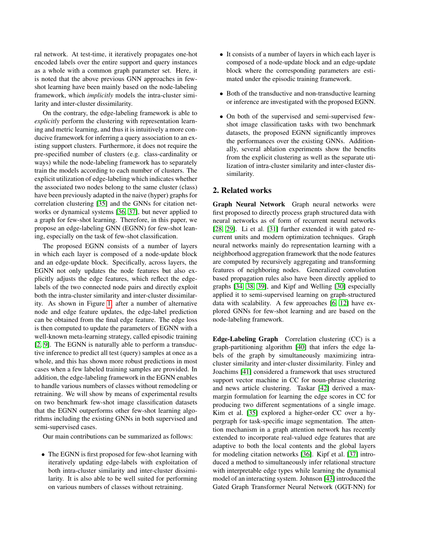ral network. At test-time, it iteratively propagates one-hot encoded labels over the entire support and query instances as a whole with a common graph parameter set. Here, it is noted that the above previous GNN approaches in fewshot learning have been mainly based on the node-labeling framework, which *implicitly* models the intra-cluster similarity and inter-cluster dissimilarity.

On the contrary, the edge-labeling framework is able to *explicitly* perform the clustering with representation learning and metric learning, and thus it is intuitively a more conducive framework for inferring a query association to an existing support clusters. Furthermore, it does not require the pre-specified number of clusters (e.g. class-cardinality or ways) while the node-labeling framework has to separately train the models according to each number of clusters. The explicit utilization of edge-labeling which indicates whether the associated two nodes belong to the same cluster (class) have been previously adapted in the naive (hyper) graphs for correlation clustering [\[35\]](#page-9-5) and the GNNs for citation networks or dynamical systems [\[36,](#page-9-6) [37\]](#page-9-7), but never applied to a graph for few-shot learning. Therefore, in this paper, we propose an edge-labeling GNN (EGNN) for few-shot leaning, especially on the task of few-shot classification.

The proposed EGNN consists of a number of layers in which each layer is composed of a node-update block and an edge-update block. Specifically, across layers, the EGNN not only updates the node features but also explicitly adjusts the edge features, which reflect the edgelabels of the two connected node pairs and directly exploit both the intra-cluster similarity and inter-cluster dissimilarity. As shown in Figure [1,](#page-0-0) after a number of alternative node and edge feature updates, the edge-label prediction can be obtained from the final edge feature. The edge loss is then computed to update the parameters of EGNN with a well-known meta-learning strategy, called episodic training [\[2,](#page-8-1) [9\]](#page-8-8). The EGNN is naturally able to perform a transductive inference to predict all test (query) samples at once as a whole, and this has shown more robust predictions in most cases when a few labeled training samples are provided. In addition, the edge-labeling framework in the EGNN enables to handle various numbers of classes without remodeling or retraining. We will show by means of experimental results on two benchmark few-shot image classification datasets that the EGNN outperforms other few-shot learning algorithms including the existing GNNs in both supervised and semi-supervised cases.

Our main contributions can be summarized as follows:

• The EGNN is first proposed for few-shot learning with iteratively updating edge-labels with exploitation of both intra-cluster similarity and inter-cluster dissimilarity. It is also able to be well suited for performing on various numbers of classes without retraining.

- It consists of a number of layers in which each layer is composed of a node-update block and an edge-update block where the corresponding parameters are estimated under the episodic training framework.
- Both of the transductive and non-transductive learning or inference are investigated with the proposed EGNN.
- On both of the supervised and semi-supervised fewshot image classification tasks with two benchmark datasets, the proposed EGNN significantly improves the performances over the existing GNNs. Additionally, several ablation experiments show the benefits from the explicit clustering as well as the separate utilization of intra-cluster similarity and inter-cluster dissimilarity.

### 2. Related works

Graph Neural Network Graph neural networks were first proposed to directly process graph structured data with neural networks as of form of recurrent neural networks [\[28,](#page-8-27) [29\]](#page-8-28). Li et al. [\[31\]](#page-9-1) further extended it with gated recurrent units and modern optimization techniques. Graph neural networks mainly do representation learning with a neighborhood aggregation framework that the node features are computed by recursively aggregating and transforming features of neighboring nodes. Generalized convolution based propagation rules also have been directly applied to graphs [\[34,](#page-9-4) [38,](#page-9-8) [39\]](#page-9-9), and Kipf and Welling [\[30\]](#page-9-0) especially applied it to semi-supervised learning on graph-structured data with scalability. A few approaches [\[6,](#page-8-5) [12\]](#page-8-11) have explored GNNs for few-shot learning and are based on the node-labeling framework.

Edge-Labeling Graph Correlation clustering (CC) is a graph-partitioning algorithm [\[40\]](#page-9-10) that infers the edge labels of the graph by simultaneously maximizing intracluster similarity and inter-cluster dissimilarity. Finley and Joachims [\[41\]](#page-9-11) considered a framework that uses structured support vector machine in CC for noun-phrase clustering and news article clustering. Taskar [\[42\]](#page-9-12) derived a maxmargin formulation for learning the edge scores in CC for producing two different segmentations of a single image. Kim et al. [\[35\]](#page-9-5) explored a higher-order CC over a hypergraph for task-specific image segmentation. The attention mechanism in a graph attention network has recently extended to incorporate real-valued edge features that are adaptive to both the local contents and the global layers for modeling citation networks [\[36\]](#page-9-6). Kipf et al. [\[37\]](#page-9-7) introduced a method to simultaneously infer relational structure with interpretable edge types while learning the dynamical model of an interacting system. Johnson [\[43\]](#page-9-13) introduced the Gated Graph Transformer Neural Network (GGT-NN) for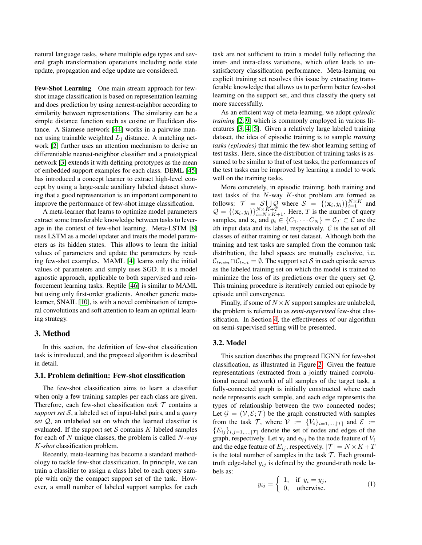natural language tasks, where multiple edge types and several graph transformation operations including node state update, propagation and edge update are considered.

Few-Shot Learning One main stream approach for fewshot image classification is based on representation learning and does prediction by using nearest-neighbor according to similarity between representations. The similarity can be a simple distance function such as cosine or Euclidean distance. A Siamese network [\[44\]](#page-9-14) works in a pairwise manner using trainable weighted  $L_1$  distance. A matching network [\[2\]](#page-8-1) further uses an attention mechanism to derive an differentiable nearest-neighbor classifier and a prototypical network [\[3\]](#page-8-2) extends it with defining prototypes as the mean of embedded support examples for each class. DEML [\[45\]](#page-9-15) has introduced a concept learner to extract high-level concept by using a large-scale auxiliary labeled dataset showing that a good representation is an important component to improve the performance of few-shot image classification.

A meta-learner that learns to optimize model parameters extract some transferable knowledge between tasks to leverage in the context of few-shot learning. Meta-LSTM [\[8\]](#page-8-7) uses LSTM as a model updater and treats the model parameters as its hidden states. This allows to learn the initial values of parameters and update the parameters by reading few-shot examples. MAML [\[4\]](#page-8-3) learns only the initial values of parameters and simply uses SGD. It is a model agnostic approach, applicable to both supervised and reinforcement learning tasks. Reptile [\[46\]](#page-9-16) is similar to MAML but using only first-order gradients. Another generic metalearner, SNAIL [\[10\]](#page-8-9), is with a novel combination of temporal convolutions and soft attention to learn an optimal learning strategy.

### 3. Method

In this section, the definition of few-shot classification task is introduced, and the proposed algorithm is described in detail.

#### 3.1. Problem definition: Few-shot classification

The few-shot classification aims to learn a classifier when only a few training samples per each class are given. Therefore, each few-shot classification *task*  $\mathcal T$  contains a *support set* S, a labeled set of input-label pairs, and a *query set* Q, an unlabeled set on which the learned classifier is evaluated. If the support set  $S$  contains  $K$  labeled samples for each of N unique classes, the problem is called N*-way* K*-shot* classification problem.

Recently, meta-learning has become a standard methodology to tackle few-shot classification. In principle, we can train a classifier to assign a class label to each query sample with only the compact support set of the task. However, a small number of labeled support samples for each task are not sufficient to train a model fully reflecting the inter- and intra-class variations, which often leads to unsatisfactory classification performance. Meta-learning on explicit training set resolves this issue by extracting transferable knowledge that allows us to perform better few-shot learning on the support set, and thus classify the query set more successfully.

As an efficient way of meta-learning, we adopt *episodic training* [\[2,](#page-8-1) [9\]](#page-8-8) which is commonly employed in various literatures [\[3,](#page-8-2) [4,](#page-8-3) [5\]](#page-8-4). Given a relatively large labeled training dataset, the idea of episodic training is to sample *training tasks (episodes)* that mimic the few-shot learning setting of test tasks. Here, since the distribution of training tasks is assumed to be similar to that of test tasks, the performances of the test tasks can be improved by learning a model to work well on the training tasks.

More concretely, in episodic training, both training and test tasks of the  $N$ -way  $K$ -shot problem are formed as follows:  $\mathcal{T} = \mathcal{S} \bigcup_{x \in \mathcal{X}} \mathcal{Q}$  where  $\mathcal{S} = \{(\mathbf{x}_i, y_i)\}_{i=1}^{N \times K}$  and  $Q = \{(\mathbf{x}_i, y_i)\}_{i=N \times K+1}^{N \times K+T}$ . Here, T is the number of query samples, and  $\mathbf{x}_i$  and  $y_i \in \{C_1, \dots C_N\} = C_{\mathcal{T}} \subset \mathcal{C}$  are the ith input data and its label, respectively.  $C$  is the set of all classes of either training or test dataset. Although both the training and test tasks are sampled from the common task distribution, the label spaces are mutually exclusive, i.e.  $\mathcal{C}_{train} \cap \mathcal{C}_{test} = \emptyset$ . The support set S in each episode serves as the labeled training set on which the model is trained to minimize the loss of its predictions over the query set Q. This training procedure is iteratively carried out episode by episode until convergence.

Finally, if some of  $N \times K$  support samples are unlabeled, the problem is referred to as *semi-supervised* few-shot classification. In Section [4,](#page-4-0) the effectiveness of our algorithm on semi-supervised setting will be presented.

#### <span id="page-2-0"></span>3.2. Model

This section describes the proposed EGNN for few-shot classification, as illustrated in Figure [2.](#page-3-0) Given the feature representations (extracted from a jointly trained convolutional neural network) of all samples of the target task, a fully-connected graph is initially constructed where each node represents each sample, and each edge represents the types of relationship between the two connected nodes; Let  $\mathcal{G} = (\mathcal{V}, \mathcal{E}; \mathcal{T})$  be the graph constructed with samples from the task  $\mathcal{T}$ , where  $\mathcal{V} := \{V_i\}_{i=1,\ldots,|\mathcal{T}|}$  and  $\mathcal{E} :=$  ${E_{ij}}_{i,j=1,\dots,|\mathcal{T}|}$  denote the set of nodes and edges of the graph, respectively. Let  $v_i$  and  $e_{ij}$  be the node feature of  $V_i$ and the edge feature of  $E_{ij}$ , respectively.  $|\mathcal{T}| = N \times K + T$ is the total number of samples in the task  $\mathcal T$ . Each groundtruth edge-label  $y_{ij}$  is defined by the ground-truth node labels as:

$$
y_{ij} = \begin{cases} 1, & \text{if } y_i = y_j, \\ 0, & \text{otherwise.} \end{cases}
$$
 (1)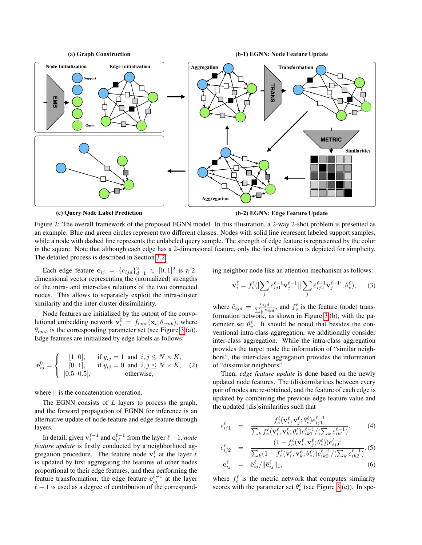<span id="page-3-0"></span>

(b-2) EGNN: Edge Feature Update

Figure 2: The overall framework of the proposed EGNN model. In this illustration, a 2-way 2-shot problem is presented as an example. Blue and green circles represent two different classes. Nodes with solid line represent labeled support samples, while a node with dashed line represents the unlabeled query sample. The strength of edge feature is represented by the color in the square. Note that although each edge has a 2-dimensional feature, only the first dimension is depicted for simplicity. The detailed process is described in Section [3.2.](#page-2-0)

Each edge feature  $e_{ij} = \{e_{ijd}\}_{d=1}^2 \in [0,1]^2$  is a 2dimensional vector representing the (normalized) strengths of the intra- and inter-class relations of the two connected nodes. This allows to separately exploit the intra-cluster similarity and the inter-cluster dissimilairity.

Node features are initialized by the output of the convolutional embedding network  $\mathbf{v}_i^0 = f_{emb}(\mathbf{x}_i; \theta_{emb})$ , where  $\theta_{emb}$  is the corresponding parameter set (see Figure [3.](#page-4-1)(a)). Edge features are initialized by edge labels as follows:

$$
\mathbf{e}_{ij}^0 = \begin{cases} [1||0], & \text{if } y_{ij} = 1 \text{ and } i, j \le N \times K, \\ [0||1], & \text{if } y_{ij} = 0 \text{ and } i, j \le N \times K, \\ [0.5||0.5], & \text{otherwise,} \end{cases}
$$
 (2)

where || is the concatenation operation.

The EGNN consists of  $L$  layers to process the graph, and the forward propagation of EGNN for inference is an alternative update of node feature and edge feature through layers.

In detail, given  $\mathbf{v}_i^{\ell-1}$  and  $\mathbf{e}_{ij}^{\ell-1}$  from the layer  $\ell-1$ , *node feature update* is firstly conducted by a neighborhood aggregation procedure. The feature node  $\mathbf{v}_i^{\ell}$  at the layer  $\ell$ is updated by first aggregating the features of other nodes proportional to their edge features, and then performing the feature transformation; the edge feature  $e_{ij}^{\ell-1}$  at the layer  $\ell - 1$  is used as a degree of contribution of the corresponding neighbor node like an attention mechanism as follows:

$$
\mathbf{v}_{i}^{\ell} = f_{v}^{\ell} \left( \left[ \sum_{j} \tilde{e}_{ij1}^{\ell-1} \mathbf{v}_{j}^{\ell-1} \right] \right| \sum_{j} \tilde{e}_{ij2}^{\ell-1} \mathbf{v}_{j}^{\ell-1} \left], \theta_{v}^{\ell} \right), \tag{3}
$$

where  $\tilde{e}_{ijd} = \frac{e_{ijd}}{\sum_k e_{ikd}}$ , and  $f_v^{\ell}$  is the feature (node) transformation network, as shown in Figure [3.](#page-4-1)(b), with the parameter set  $\theta_v^{\ell}$ . It should be noted that besides the conventional intra-class aggregation, we additionally consider inter-class aggregation. While the intra-class aggregation provides the target node the information of "similar neighbors", the inter-class aggregation provides the information of "dissimilar neighbors".

Then, *edge feature update* is done based on the newly updated node features. The (dis)similarities between every pair of nodes are re-obtained, and the feature of each edge is updated by combining the previous edge feature value and the updated (dis)similarities such that

$$
\bar{e}_{ij1}^{\ell} = \frac{f_{e}^{\ell}(\mathbf{v}_{i}^{\ell}, \mathbf{v}_{j}^{\ell}; \theta_{e}^{\ell}) e_{ij1}^{\ell-1}}{\sum_{k} f_{e}^{\ell}(\mathbf{v}_{i}^{\ell}, \mathbf{v}_{k}^{\ell}; \theta_{e}^{\ell}) e_{ik1}^{\ell-1}/(\sum_{k} e_{ik1}^{\ell-1})},
$$
(4)

$$
\bar{e}_{ij2}^{\ell} = \frac{(1 - f_e^{\ell}(\mathbf{v}_i^{\ell}, \mathbf{v}_j^{\ell}; \theta_e^{\ell}))e_{ij2}^{\ell-1}}{\sum_k (1 - f_e^{\ell}(\mathbf{v}_i^{\ell}, \mathbf{v}_k^{\ell}; \theta_e^{\ell}))e_{ik2}^{\ell-1}/(\sum_k e_{ik2}^{\ell-1})}, (5)
$$
\n
$$
\mathbf{e}_{i}^{\ell} = \bar{\mathbf{e}}^{\ell} / ||\bar{\mathbf{e}}^{\ell}||.
$$

$$
\mathbf{e}_{ij}^{\ell} = \bar{\mathbf{e}}_{ij}^{\ell} / ||\bar{\mathbf{e}}_{ij}^{\ell}||_1, \tag{6}
$$

where  $f_e^{\ell}$  is the metric network that computes similarity scores with the parameter set  $\theta_e^{\ell}$  (see Figure [3.](#page-4-1)(c)). In spe-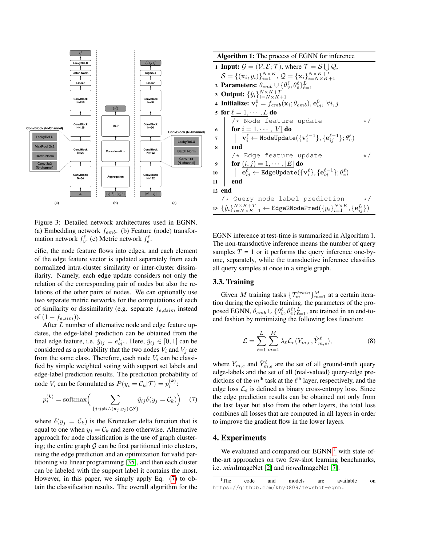<span id="page-4-1"></span>

Figure 3: Detailed network architectures used in EGNN. (a) Embedding network  $f_{emb}$ . (b) Feature (node) transformation network  $f_v^{\ell}$ . (c) Metric network  $f_e^{\ell}$ .

cific, the node feature flows into edges, and each element of the edge feature vector is updated separately from each normalized intra-cluster similarity or inter-cluster dissimilarity. Namely, each edge update considers not only the relation of the corresponding pair of nodes but also the relations of the other pairs of nodes. We can optionally use two separate metric networks for the computations of each of similarity or dissimilarity (e.g. separate  $f_{e,dsim}$  instead of  $(1 - f_{e,sim})$ ).

After L number of alternative node and edge feature updates, the edge-label prediction can be obtained from the final edge feature, i.e.  $\hat{y}_{ij} = e_{ij1}^L$ . Here,  $\hat{y}_{ij} \in [0, 1]$  can be considered as a probability that the two nodes  $V_i$  and  $V_j$  are from the same class. Therefore, each node  $V_i$  can be classified by simple weighted voting with support set labels and edge-label prediction results. The prediction probability of node  $V_i$  can be formulated as  $P(y_i = C_k | \mathcal{T}) = p_i^{(k)}$ :

<span id="page-4-2"></span>
$$
p_i^{(k)} = \text{softmax}\left(\sum_{\{j:j \neq i \land (\mathbf{x}_j, y_j) \in \mathcal{S}\}} \hat{y}_{ij} \delta(y_j = C_k)\right) \quad (7)
$$

where  $\delta(y_i = C_k)$  is the Kronecker delta function that is equal to one when  $y_i = C_k$  and zero otherwise. Alternative approach for node classification is the use of graph clustering; the entire graph  $G$  can be first partitioned into clusters, using the edge prediction and an optimization for valid partitioning via linear programming [\[35\]](#page-9-5), and then each cluster can be labeled with the support label it contains the most. However, in this paper, we simply apply Eq. [\(7\)](#page-4-2) to obtain the classification results. The overall algorithm for the

| <b>Algorithm 1:</b> The process of EGNN for inference |                                                                                                                                                           |          |  |
|-------------------------------------------------------|-----------------------------------------------------------------------------------------------------------------------------------------------------------|----------|--|
|                                                       | 1 <b>Input:</b> $\mathcal{G} = (\mathcal{V}, \mathcal{E}; \mathcal{T})$ , where $\mathcal{T} = \mathcal{S} \cup \mathcal{Q}$ ,                            |          |  |
|                                                       | $S = \{(\mathbf{x}_i, y_i)\}_{i=1}^{N \times K}, Q = \{\mathbf{x}_i\}_{i=N \times K+1}^{N \times K+T}$                                                    |          |  |
|                                                       | 2 Parameters: $\theta_{emb} \cup \{\theta_v^{\ell}, \theta_e^{\ell}\}_{\ell=1}^L$                                                                         |          |  |
|                                                       | 3 Output: $\{\hat{y}_i\}_{i=N\vee K+1}^{N\times K+T}$                                                                                                     |          |  |
|                                                       | 4 Initialize: $\mathbf{v}_i^0 = f_{emb}(\mathbf{x}_i; \theta_{emb}), \mathbf{e}_{ij}^0, \forall i, j$                                                     |          |  |
|                                                       | 5 for $\ell = 1, \cdots, L$ do                                                                                                                            |          |  |
|                                                       | /* Node feature update                                                                                                                                    | $\star/$ |  |
| 6                                                     | <b>for</b> $i = 1, \dots,  V $ do                                                                                                                         |          |  |
| $\overline{7}$                                        | $\qquad \qquad \mid \quad \mathbf{v}_i^{\ell} \leftarrow \texttt{NodeUpdate}(\{\mathbf{v}_i^{\ell-1}\}, \{\mathbf{e}_{ij}^{\ell-1}\}; \theta_{v}^{\ell})$ |          |  |
| 8                                                     | end                                                                                                                                                       |          |  |
|                                                       | $/*$ Edge feature update                                                                                                                                  | $\star/$ |  |
| 9                                                     | <b>for</b> $(i, j) = 1, \cdots,  E $ do                                                                                                                   |          |  |
| 10                                                    | $ \quad \mathbf{e}_{ii}^{\ell} \leftarrow \texttt{EdgeUpdate}(\{\mathbf{v}_i^{\ell}\}, \{\mathbf{e}_{ii}^{\ell-1}\}; \theta_e^{\ell})$                    |          |  |
| 11                                                    | end                                                                                                                                                       |          |  |
|                                                       | 12 end                                                                                                                                                    |          |  |
|                                                       | /* Query node label prediction                                                                                                                            | $\star/$ |  |
|                                                       | 13 $\{\hat{y}_i\}_{i=N\times K+1}^{N\times K+T} \leftarrow$ Edge2NodePred $(\{y_i\}_{i=1}^{N\times K}, \{\mathbf{e}_{ij}^L\})$                            |          |  |

EGNN inference at test-time is summarized in Algorithm 1. The non-transductive inference means the number of query samples  $T = 1$  or it performs the query inference one-byone, separately, while the transductive inference classifies all query samples at once in a single graph.

### 3.3. Training

Given M training tasks  $\{\mathcal{T}_m^{train}\}_{m=1}^M$  at a certain iteration during the episodic training, the parameters of the proposed EGNN,  $\theta_{emb} \cup \{\theta_v^{\ell}, \theta_e^{\ell}\}_{\ell=1}^{L}$ , are trained in an end-toend fashion by minimizing the following loss function:

$$
\mathcal{L} = \sum_{\ell=1}^{L} \sum_{m=1}^{M} \lambda_{\ell} \mathcal{L}_{e}(Y_{m,e}, \hat{Y}_{m,e}^{\ell}), \tag{8}
$$

where  $Y_{m,e}$  and  $\hat{Y}_{m,e}^{\ell}$  are the set of all ground-truth query edge-labels and the set of all (real-valued) query-edge predictions of the  $m<sup>th</sup>$  task at the  $\ell<sup>th</sup>$  layer, respectively, and the edge loss  $\mathcal{L}_e$  is defined as binary cross-entropy loss. Since the edge prediction results can be obtained not only from the last layer but also from the other layers, the total loss combines all losses that are computed in all layers in order to improve the gradient flow in the lower layers.

### <span id="page-4-0"></span>4. Experiments

We evaluated and compared our EGNN  $<sup>1</sup>$  $<sup>1</sup>$  $<sup>1</sup>$  with state-of-</sup> the-art approaches on two few-shot learning benchmarks, i.e. *mini*ImageNet [\[2\]](#page-8-1) and *tiered*ImageNet [\[7\]](#page-8-6).

<span id="page-4-3"></span><sup>&</sup>lt;sup>1</sup>The code and models are available on https://github.com/khy0809/fewshot-egnn.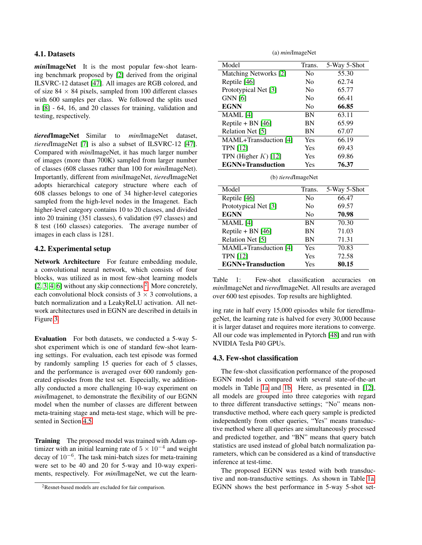#### 4.1. Datasets

*mini*ImageNet It is the most popular few-shot learning benchmark proposed by [\[2\]](#page-8-1) derived from the original ILSVRC-12 dataset [\[47\]](#page-9-17). All images are RGB colored, and of size  $84 \times 84$  pixels, sampled from 100 different classes with 600 samples per class. We followed the splits used in [\[8\]](#page-8-7) - 64, 16, and 20 classes for training, validation and testing, respectively.

*tiered*ImageNet Similar to *mini*ImageNet dataset, *tiered*ImageNet [\[7\]](#page-8-6) is also a subset of ILSVRC-12 [\[47\]](#page-9-17). Compared with *mini*ImageNet, it has much larger number of images (more than 700K) sampled from larger number of classes (608 classes rather than 100 for *mini*ImageNet). Importantly, different from *mini*ImageNet, *tiered*ImageNet adopts hierarchical category structure where each of 608 classes belongs to one of 34 higher-level categories sampled from the high-level nodes in the Imagenet. Each higher-level category contains 10 to 20 classes, and divided into 20 training (351 classes), 6 validation (97 classes) and 8 test (160 classes) categories. The average number of images in each class is 1281.

## 4.2. Experimental setup

Network Architecture For feature embedding module, a convolutional neural network, which consists of four blocks, was utilized as in most few-shot learning models  $[2, 3, 4, 6]$  $[2, 3, 4, 6]$  $[2, 3, 4, 6]$  $[2, 3, 4, 6]$  without any skip connections  $^2$  $^2$ . More concretely, each convolutional block consists of  $3 \times 3$  convolutions, a batch normalization and a LeakyReLU activation. All network architectures used in EGNN are described in details in Figure [3.](#page-4-1)

Evaluation For both datasets, we conducted a 5-way 5 shot experiment which is one of standard few-shot learning settings. For evaluation, each test episode was formed by randomly sampling 15 queries for each of 5 classes, and the performance is averaged over 600 randomly generated episodes from the test set. Especially, we additionally conducted a more challenging 10-way experiment on *mini*Imagenet, to demonstrate the flexibility of our EGNN model when the number of classes are different between meta-training stage and meta-test stage, which will be presented in Section [4.5.](#page-6-0)

Training The proposed model was trained with Adam optimizer with an initial learning rate of  $5 \times 10^{-4}$  and weight decay of 10<sup>−</sup><sup>6</sup> . The task mini-batch sizes for meta-training were set to be 40 and 20 for 5-way and 10-way experiments, respectively. For *mini*ImageNet, we cut the learn-

(a) *mini*ImageNet

<span id="page-5-1"></span>

| Model                    | Trans.         | 5-Way 5-Shot |
|--------------------------|----------------|--------------|
| Matching Networks [2]    | N <sub>0</sub> | 55.30        |
| Reptile [46]             | No             | 62.74        |
| Prototypical Net [3]     | N <sub>0</sub> | 65.77        |
| <b>GNN [6]</b>           | N <sub>0</sub> | 66.41        |
| <b>EGNN</b>              | N <sub>0</sub> | 66.85        |
| MAML [4]                 | BN             | 63.11        |
| Reptile + BN $[46]$      | BN             | 65.99        |
| Relation Net [5]         | BN             | 67.07        |
| MAML+Transduction [4]    | Yes            | 66.19        |
| <b>TPN [12]</b>          | Yes            | 69.43        |
| TPN (Higher $K$ ) [12]   | Yes            | 69.86        |
| <b>EGNN+Transduction</b> | Yes            | 76.37        |

(b) *tiered*ImageNet

| Model                    | Trans.         | 5-Way 5-Shot |
|--------------------------|----------------|--------------|
| Reptile [46]             | N <sub>0</sub> | 66.47        |
| Prototypical Net [3]     | N <sub>0</sub> | 69.57        |
| <b>EGNN</b>              | N <sub>0</sub> | 70.98        |
| $MAML$ [4]               | <b>BN</b>      | 70.30        |
| Reptile + BN $[46]$      | <b>BN</b>      | 71.03        |
| Relation Net [5]         | <b>BN</b>      | 71.31        |
| MAML+Transduction [4]    | Yes            | 70.83        |
| <b>TPN [12]</b>          | Yes            | 72.58        |
| <b>EGNN+Transduction</b> | Yes            | 80.15        |

Table 1: Few-shot classification accuracies on *mini*ImageNet and *tiered*ImageNet. All results are averaged over 600 test episodes. Top results are highlighted.

ing rate in half every 15,000 episodes while for tieredImageNet, the learning rate is halved for every 30,000 because it is larger dataset and requires more iterations to converge. All our code was implemented in Pytorch [\[48\]](#page-9-18) and run with NVIDIA Tesla P40 GPUs.

#### 4.3. Few-shot classification

The few-shot classification performance of the proposed EGNN model is compared with several state-of-the-art models in Table [1a](#page-5-1) and [1b.](#page-5-1) Here, as presented in [\[12\]](#page-8-11), all models are grouped into three categories with regard to three different transductive settings; "No" means nontransductive method, where each query sample is predicted independently from other queries, "Yes" means transductive method where all queries are simultaneously processed and predicted together, and "BN" means that query batch statistics are used instead of global batch normalization parameters, which can be considered as a kind of transductive inference at test-time.

The proposed EGNN was tested with both transductive and non-transductive settings. As shown in Table [1a,](#page-5-1) EGNN shows the best performance in 5-way 5-shot set-

<span id="page-5-0"></span><sup>2</sup>Resnet-based models are excluded for fair comparison.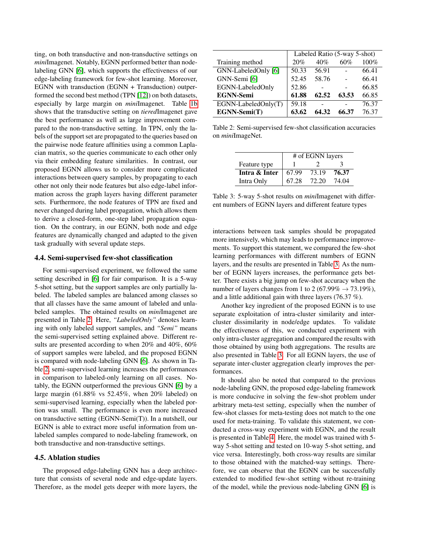ting, on both transductive and non-transductive settings on *mini*Imagenet. Notably, EGNN performed better than nodelabeling GNN [\[6\]](#page-8-5), which supports the effectiveness of our edge-labeling framework for few-shot learning. Moreover, EGNN with transduction (EGNN + Transduction) outperformed the second best method (TPN [\[12\]](#page-8-11)) on both datasets, especially by large margin on *mini*Imagenet. Table [1b](#page-5-1) shows that the transductive setting on *tiered*Imagenet gave the best performance as well as large improvement compared to the non-transductive setting. In TPN, only the labels of the support set are propagated to the queries based on the pairwise node feature affinities using a common Laplacian matrix, so the queries communicate to each other only via their embedding feature similarities. In contrast, our proposed EGNN allows us to consider more complicated interactions between query samples, by propagating to each other not only their node features but also edge-label information across the graph layers having different parameter sets. Furthermore, the node features of TPN are fixed and never changed during label propagation, which allows them to derive a closed-form, one-step label propagation equation. On the contrary, in our EGNN, both node and edge features are dynamically changed and adapted to the given task gradually with several update steps.

#### 4.4. Semi-supervised few-shot classification

For semi-supervised experiment, we followed the same setting described in [\[6\]](#page-8-5) for fair comparison. It is a 5-way 5-shot setting, but the support samples are only partially labeled. The labeled samples are balanced among classes so that all classes have the same amount of labeled and unlabeled samples. The obtained results on *mini*Imagenet are presented in Table [2.](#page-6-1) Here, *"LabeledOnly"* denotes learning with only labeled support samples, and *"Semi"* means the semi-supervised setting explained above. Different results are presented according to when 20% and 40%, 60% of support samples were labeled, and the proposed EGNN is compared with node-labeling GNN [\[6\]](#page-8-5). As shown in Table [2,](#page-6-1) semi-supervised learning increases the performances in comparison to labeled-only learning on all cases. Notably, the EGNN outperformed the previous GNN [\[6\]](#page-8-5) by a large margin (61.88% vs 52.45%, when 20% labeled) on semi-supervised learning, especially when the labeled portion was small. The performance is even more increased on transductive setting (EGNN-Semi(T)). In a nutshell, our EGNN is able to extract more useful information from unlabeled samples compared to node-labeling framework, on both transductive and non-transductive settings.

## <span id="page-6-0"></span>4.5. Ablation studies

The proposed edge-labeling GNN has a deep architecture that consists of several node and edge-update layers. Therefore, as the model gets deeper with more layers, the

<span id="page-6-1"></span>

|                     | Labeled Ratio (5-way 5-shot) |       |       |       |
|---------------------|------------------------------|-------|-------|-------|
| Training method     | 20%                          | 40%   | 60%   | 100%  |
| GNN-LabeledOnly [6] | 50.33                        | 56.91 |       | 66.41 |
| GNN-Semi [6]        | 52.45                        | 58.76 |       | 66.41 |
| EGNN-LabeledOnly    | 52.86                        |       |       | 66.85 |
| <b>EGNN-Semi</b>    | 61.88                        | 62.52 | 63.53 | 66.85 |
| EGNN-LabeledOnly(T) | 59.18                        |       |       | 76.37 |
| EGNN-Semi(T)        | 63.62                        | 64.32 | 66.37 | 76.37 |

Table 2: Semi-supervised few-shot classification accuracies on *mini*ImageNet.

<span id="page-6-2"></span>

|               | # of EGNN layers |       |       |
|---------------|------------------|-------|-------|
| Feature type  |                  |       | 3     |
| Intra & Inter | 67.99            | 73.19 | 76.37 |
| Intra Only    | 67.28            | 72.20 | 74.04 |

Table 3: 5-way 5-shot results on *mini*Imagenet with different numbers of EGNN layers and different feature types

interactions between task samples should be propagated more intensively, which may leads to performance improvements. To support this statement, we compared the few-shot learning performances with different numbers of EGNN layers, and the results are presented in Table [3.](#page-6-2) As the number of EGNN layers increases, the performance gets better. There exists a big jump on few-shot accuracy when the number of layers changes from 1 to 2 (67.99%  $\rightarrow$  73.19%), and a little additional gain with three layers (76.37 %).

Another key ingredient of the proposed EGNN is to use separate exploitation of intra-cluster similarity and intercluster dissimilarity in node/edge updates. To validate the effectiveness of this, we conducted experiment with only intra-cluster aggregation and compared the results with those obtained by using both aggregations. The results are also presented in Table [3.](#page-6-2) For all EGNN layers, the use of separate inter-cluster aggregation clearly improves the performances.

It should also be noted that compared to the previous node-labeling GNN, the proposed edge-labeling framework is more conducive in solving the few-shot problem under arbitrary meta-test setting, especially when the number of few-shot classes for meta-testing does not match to the one used for meta-training. To validate this statement, we conducted a cross-way experiment with EGNN, and the result is presented in Table [4.](#page-7-0) Here, the model was trained with 5 way 5-shot setting and tested on 10-way 5-shot setting, and vice versa. Interestingly, both cross-way results are similar to those obtained with the matched-way settings. Therefore, we can observe that the EGNN can be successfully extended to modified few-shot setting without re-training of the model, while the previous node-labeling GNN [\[6\]](#page-8-5) is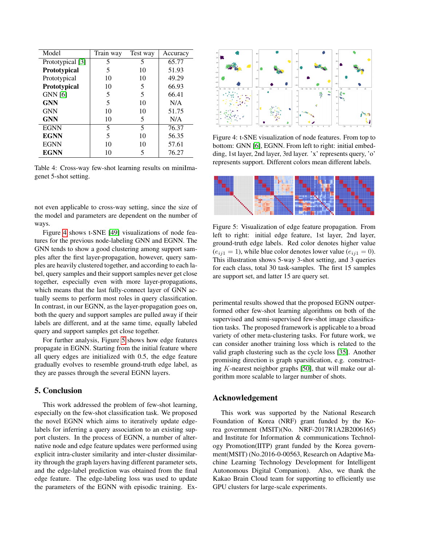<span id="page-7-0"></span>

| Model            | Train way | Test way | Accuracy |
|------------------|-----------|----------|----------|
| Prototypical [3] | 5         | 5        | 65.77    |
| Prototypical     | 5         | 10       | 51.93    |
| Prototypical     | 10        | 10       | 49.29    |
| Prototypical     | 10        | 5        | 66.93    |
| <b>GNN</b> [6]   | 5         | 5        | 66.41    |
| <b>GNN</b>       | 5         | 10       | N/A      |
| <b>GNN</b>       | 10        | 10       | 51.75    |
| <b>GNN</b>       | 10        | 5        | N/A      |
| <b>EGNN</b>      | 5         | 5        | 76.37    |
| <b>EGNN</b>      | 5         | 10       | 56.35    |
| <b>EGNN</b>      | 10        | 10       | 57.61    |
| <b>EGNN</b>      | 10        | 5        | 76.27    |

Table 4: Cross-way few-shot learning results on miniImagenet 5-shot setting.

not even applicable to cross-way setting, since the size of the model and parameters are dependent on the number of ways.

Figure [4](#page-7-1) shows t-SNE [\[49\]](#page-9-19) visualizations of node features for the previous node-labeling GNN and EGNN. The GNN tends to show a good clustering among support samples after the first layer-propagation, however, query samples are heavily clustered together, and according to each label, query samples and their support samples never get close together, especially even with more layer-propagations, which means that the last fully-connect layer of GNN actually seems to perform most roles in query classification. In contrast, in our EGNN, as the layer-propagation goes on, both the query and support samples are pulled away if their labels are different, and at the same time, equally labeled query and support samples get close together.

For further analysis, Figure [5](#page-7-2) shows how edge features propagate in EGNN. Starting from the initial feature where all query edges are initialized with 0.5, the edge feature gradually evolves to resemble ground-truth edge label, as they are passes through the several EGNN layers.

### 5. Conclusion

This work addressed the problem of few-shot learning, especially on the few-shot classification task. We proposed the novel EGNN which aims to iteratively update edgelabels for inferring a query association to an existing support clusters. In the process of EGNN, a number of alternative node and edge feature updates were performed using explicit intra-cluster similarity and inter-cluster dissimilarity through the graph layers having different parameter sets, and the edge-label prediction was obtained from the final edge feature. The edge-labeling loss was used to update the parameters of the EGNN with episodic training. Ex-

<span id="page-7-1"></span>

Figure 4: t-SNE visualization of node features. From top to bottom: GNN [\[6\]](#page-8-5), EGNN. From left to right: initial embedding, 1st layer, 2nd layer, 3rd layer. 'x' represents query, 'o' represents support. Different colors mean different labels.

<span id="page-7-2"></span>

Figure 5: Visualization of edge feature propagation. From left to right: initial edge feature, 1st layer, 2nd layer, ground-truth edge labels. Red color denotes higher value  $(e_{ii1} = 1)$ , while blue color denotes lower value  $(e_{ii1} = 0)$ . This illustration shows 5-way 3-shot setting, and 3 queries for each class, total 30 task-samples. The first 15 samples are support set, and latter 15 are query set.

perimental results showed that the proposed EGNN outperformed other few-shot learning algorithms on both of the supervised and semi-supervised few-shot image classification tasks. The proposed framework is applicable to a broad variety of other meta-clustering tasks. For future work, we can consider another training loss which is related to the valid graph clustering such as the cycle loss [\[35\]](#page-9-5). Another promising direction is graph sparsification, e.g. constructing K-nearest neighbor graphs [\[50\]](#page-9-20), that will make our algorithm more scalable to larger number of shots.

## Acknowledgement

This work was supported by the National Research Foundation of Korea (NRF) grant funded by the Korea government (MSIT)(No. NRF-2017R1A2B2006165) and Institute for Information & communications Technology Promotion(IITP) grant funded by the Korea government(MSIT) (No.2016-0-00563, Research on Adaptive Machine Learning Technology Development for Intelligent Autonomous Digital Companion). Also, we thank the Kakao Brain Cloud team for supporting to efficiently use GPU clusters for large-scale experiments.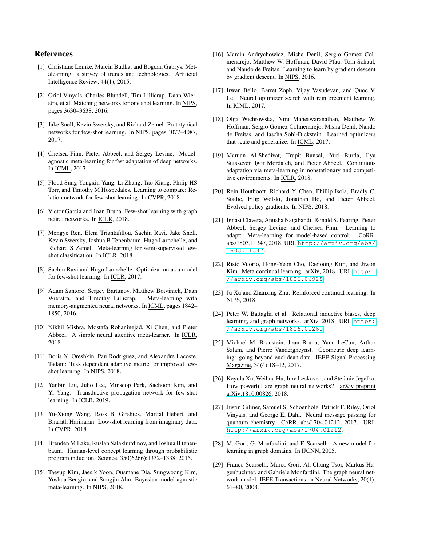## References

- <span id="page-8-0"></span>[1] Christiane Lemke, Marcin Budka, and Bogdan Gabrys. Metalearning: a survey of trends and technologies. Artificial Intelligence Review, 44(1), 2015.
- <span id="page-8-1"></span>[2] Oriol Vinyals, Charles Blundell, Tim Lillicrap, Daan Wierstra, et al. Matching networks for one shot learning. In NIPS, pages 3630–3638, 2016.
- <span id="page-8-2"></span>[3] Jake Snell, Kevin Swersky, and Richard Zemel. Prototypical networks for few-shot learning. In NIPS, pages 4077–4087, 2017.
- <span id="page-8-3"></span>[4] Chelsea Finn, Pieter Abbeel, and Sergey Levine. Modelagnostic meta-learning for fast adaptation of deep networks. In ICML, 2017.
- <span id="page-8-4"></span>[5] Flood Sung Yongxin Yang, Li Zhang, Tao Xiang, Philip HS Torr, and Timothy M Hospedales. Learning to compare: Relation network for few-shot learning. In CVPR, 2018.
- <span id="page-8-5"></span>[6] Victor Garcia and Joan Bruna. Few-shot learning with graph neural networks. In ICLR, 2018.
- <span id="page-8-6"></span>[7] Mengye Ren, Eleni Triantafillou, Sachin Ravi, Jake Snell, Kevin Swersky, Joshua B Tenenbaum, Hugo Larochelle, and Richard S Zemel. Meta-learning for semi-supervised fewshot classification. In ICLR, 2018.
- <span id="page-8-7"></span>[8] Sachin Ravi and Hugo Larochelle. Optimization as a model for few-shot learning. In ICLR, 2017.
- <span id="page-8-8"></span>[9] Adam Santoro, Sergey Bartunov, Matthew Botvinick, Daan Wierstra, and Timothy Lillicrap. Meta-learning with memory-augmented neural networks. In ICML, pages 1842– 1850, 2016.
- <span id="page-8-9"></span>[10] Nikhil Mishra, Mostafa Rohaninejad, Xi Chen, and Pieter Abbeel. A simple neural attentive meta-learner. In ICLR, 2018.
- <span id="page-8-10"></span>[11] Boris N. Oreshkin, Pau Rodriguez, and Alexandre Lacoste. Tadam: Task dependent adaptive metric for improved fewshot learning. In NIPS, 2018.
- <span id="page-8-11"></span>[12] Yanbin Liu, Juho Lee, Minseop Park, Saehoon Kim, and Yi Yang. Transductive propagation network for few-shot learning. In ICLR, 2019.
- <span id="page-8-12"></span>[13] Yu-Xiong Wang, Ross B. Girshick, Martial Hebert, and Bharath Hariharan. Low-shot learning from imaginary data. In CVPR, 2018.
- <span id="page-8-13"></span>[14] Brenden M Lake, Ruslan Salakhutdinov, and Joshua B tenenbaum. Human-level concept learning through probabilistic program induction. Science, 350(6266):1332–1338, 2015.
- <span id="page-8-14"></span>[15] Taesup Kim, Jaesik Yoon, Ousmane Dia, Sungwoong Kim, Yoshua Bengio, and Sungjin Ahn. Bayesian model-agnostic meta-learning. In NIPS, 2018.
- <span id="page-8-15"></span>[16] Marcin Andrychowicz, Misha Denil, Sergio Gomez Colmenarejo, Matthew W. Hoffman, David Pfau, Tom Schaul, and Nando de Freitas. Learning to learn by gradient descent by gradient descent. In NIPS, 2016.
- <span id="page-8-16"></span>[17] Irwan Bello, Barret Zoph, Vijay Vasudevan, and Quoc V. Le. Neural optimizer search with reinforcement learning. In ICML, 2017.
- <span id="page-8-17"></span>[18] Olga Wichrowska, Niru Maheswaranathan, Matthew W. Hoffman, Sergio Gomez Colmenarejo, Misha Denil, Nando de Freitas, and Jascha Sohl-Dickstein. Learned optimizers that scale and generalize. In ICML, 2017.
- <span id="page-8-18"></span>[19] Maruan Al-Shedivat, Trapit Bansal, Yuri Burda, Ilya Sutskever, Igor Mordatch, and Pieter Abbeel. Continuous adaptation via meta-learning in nonstationary and competitive environments. In ICLR, 2018.
- <span id="page-8-19"></span>[20] Rein Houthooft, Richard Y. Chen, Phillip Isola, Bradly C. Stadie, Filip Wolski, Jonathan Ho, and Pieter Abbeel. Evolved policy gradients. In NIPS, 2018.
- <span id="page-8-20"></span>[21] Ignasi Clavera, Anusha Nagabandi, Ronald S. Fearing, Pieter Abbeel, Sergey Levine, and Chelsea Finn. Learning to adapt: Meta-learning for model-based control. CoRR, abs/1803.11347, 2018. URL [http://arxiv.org/abs/](http://arxiv.org/abs/1803.11347) [1803.11347](http://arxiv.org/abs/1803.11347).
- <span id="page-8-21"></span>[22] Risto Vuorio, Dong-Yeon Cho, Daejoong Kim, and Jiwon Kim. Meta continual learning. arXiv, 2018. URL [https:](https://arxiv.org/abs/1806.06928) [//arxiv.org/abs/1806.06928](https://arxiv.org/abs/1806.06928).
- <span id="page-8-22"></span>[23] Ju Xu and Zhanxing Zhu. Reinforced continual learning. In NIPS, 2018.
- <span id="page-8-23"></span>[24] Peter W. Battaglia et al. Relational inductive biases, deep learning, and graph networks. arXiv, 2018. URL [https:](https://arxiv.org/abs/1806.01261) [//arxiv.org/abs/1806.01261](https://arxiv.org/abs/1806.01261).
- <span id="page-8-24"></span>[25] Michael M. Bronstein, Joan Bruna, Yann LeCun, Arthur Szlam, and Pierre Vandergheynst. Geometric deep learning: going beyond euclidean data. IEEE Signal Processing Magazine, 34(4):18–42, 2017.
- <span id="page-8-25"></span>[26] Keyulu Xu, Weihua Hu, Jure Leskovec, and Stefanie Jegelka. How powerful are graph neural networks? arXiv preprint [arXiv:1810.00826,](http://arxiv.org/abs/1810.00826) 2018.
- <span id="page-8-26"></span>[27] Justin Gilmer, Samuel S. Schoenholz, Patrick F. Riley, Oriol Vinyals, and George E. Dahl. Neural message passing for quantum chemistry. CoRR, abs/1704.01212, 2017. URL <http://arxiv.org/abs/1704.01212>.
- <span id="page-8-27"></span>[28] M. Gori, G. Monfardini, and F. Scarselli. A new model for learning in graph domains. In IJCNN, 2005.
- <span id="page-8-28"></span>[29] Franco Scarselli, Marco Gori, Ah Chung Tsoi, Markus Hagenbuchner, and Gabriele Monfardini. The graph neural network model. IEEE Transactions on Neural Networks, 20(1): 61–80, 2008.